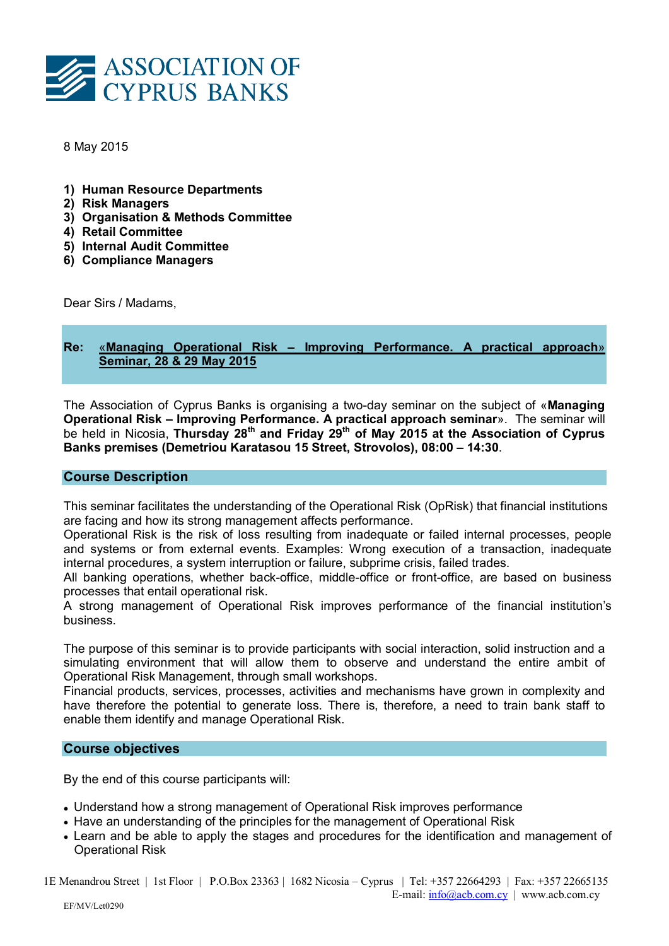

8 May 2015

- 1) Human Resource Departments
- 2) Risk Managers
- 3) Organisation & Methods Committee
- 4) Retail Committee
- 5) Internal Audit Committee
- 6) Compliance Managers

Dear Sirs / Madams,

# Re: «Managing Operational Risk – Improving Performance. A practical approach» Seminar, 28 & 29 May 2015

The Association of Cyprus Banks is organising a two-day seminar on the subject of «Managing Operational Risk – Improving Performance. A practical approach seminar». The seminar will be held in Nicosia, Thursday 28<sup>th</sup> and Friday 29<sup>th</sup> of May 2015 at the Association of Cyprus Banks premises (Demetriou Karatasou 15 Street, Strovolos), 08:00 – 14:30.

### Course Description

This seminar facilitates the understanding of the Operational Risk (OpRisk) that financial institutions are facing and how its strong management affects performance.

Operational Risk is the risk of loss resulting from inadequate or failed internal processes, people and systems or from external events. Examples: Wrong execution of a transaction, inadequate internal procedures, a system interruption or failure, subprime crisis, failed trades.

All banking operations, whether back-office, middle-office or front-office, are based on business processes that entail operational risk.

A strong management of Operational Risk improves performance of the financial institution's business.

The purpose of this seminar is to provide participants with social interaction, solid instruction and a simulating environment that will allow them to observe and understand the entire ambit of Operational Risk Management, through small workshops.

Financial products, services, processes, activities and mechanisms have grown in complexity and have therefore the potential to generate loss. There is, therefore, a need to train bank staff to enable them identify and manage Operational Risk.

## Course objectives

By the end of this course participants will:

- Understand how a strong management of Operational Risk improves performance
- Have an understanding of the principles for the management of Operational Risk
- Learn and be able to apply the stages and procedures for the identification and management of Operational Risk

1E Menandrou Street | 1st Floor | P.O.Box 23363 | 1682 Nicosia – Cyprus | Tel: +357 22664293 | Fax: +357 22665135 E-mail: info@acb.com.cy | www.acb.com.cy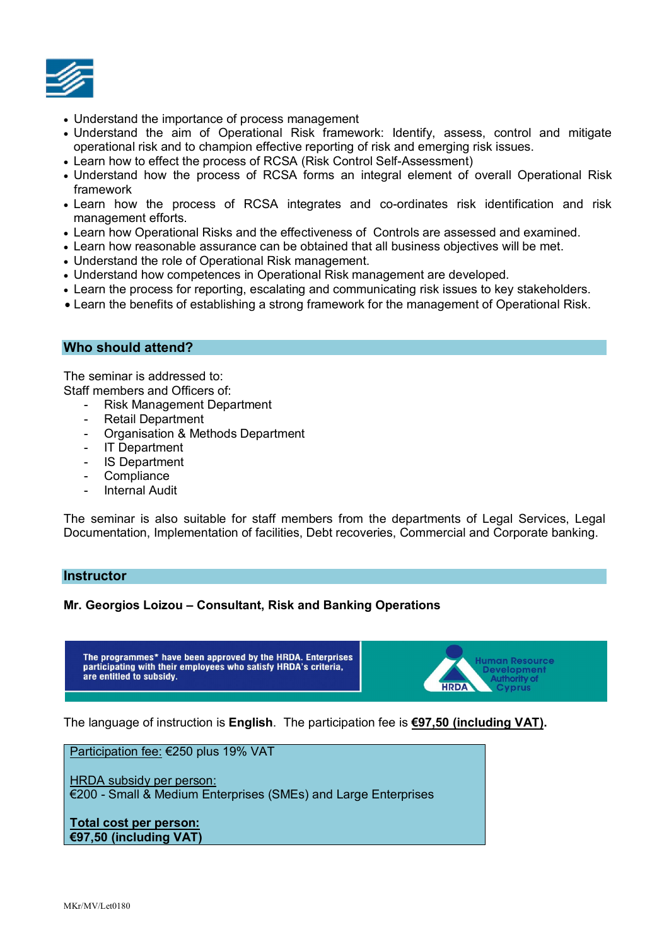

- Understand the importance of process management
- Understand the aim of Operational Risk framework: Identify, assess, control and mitigate operational risk and to champion effective reporting of risk and emerging risk issues.
- Learn how to effect the process of RCSA (Risk Control Self-Assessment)
- Understand how the process of RCSA forms an integral element of overall Operational Risk framework
- Learn how the process of RCSA integrates and co-ordinates risk identification and risk management efforts.
- Learn how Operational Risks and the effectiveness of Controls are assessed and examined.
- Learn how reasonable assurance can be obtained that all business objectives will be met.
- Understand the role of Operational Risk management.
- Understand how competences in Operational Risk management are developed.
- Learn the process for reporting, escalating and communicating risk issues to key stakeholders.
- Learn the benefits of establishing a strong framework for the management of Operational Risk.

### Who should attend?

The seminar is addressed to: Staff members and Officers of:

- Risk Management Department
- Retail Department
- Organisation & Methods Department
- IT Department
- IS Department
- Compliance
- Internal Audit

The seminar is also suitable for staff members from the departments of Legal Services, Legal Documentation, Implementation of facilities, Debt recoveries, Commercial and Corporate banking.

#### **Instructor**

### Mr. Georgios Loizou – Consultant, Risk and Banking Operations

The programmes\* have been approved by the HRDA. Enterprises participating with their employees who satisfy HRDA's criteria, are entitled to subsidy.



The language of instruction is English. The participation fee is €97,50 (including VAT).

Participation fee: €250 plus 19% VAT

HRDA subsidy per person:

€200 - Small & Medium Enterprises (SMEs) and Large Enterprises

Total cost per person: €97,50 (including VAT)